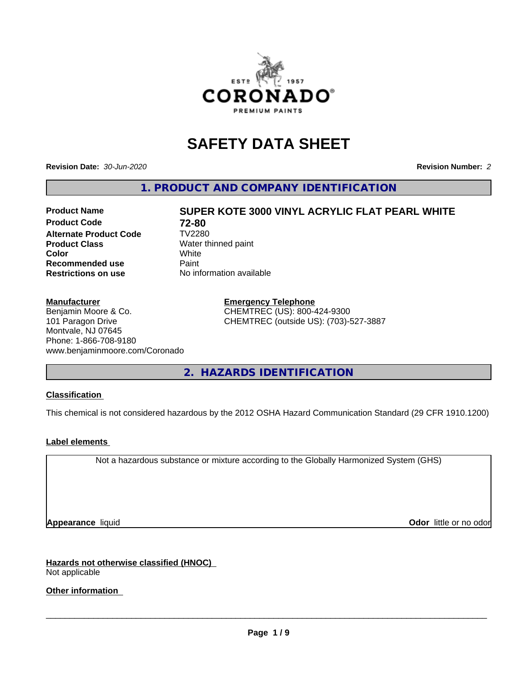

# **SAFETY DATA SHEET**

**Revision Date:** *30-Jun-2020* **Revision Number:** *2*

**1. PRODUCT AND COMPANY IDENTIFICATION**

## **Product Code 12-80<br>Alternate Product Code 17V2280 Alternate Product Code Product Class** Water thinned paint<br> **Color** White **Recommended use Caint Restrictions on use** No information available

#### **Manufacturer**

Benjamin Moore & Co. 101 Paragon Drive Montvale, NJ 07645 Phone: 1-866-708-9180 www.benjaminmoore.com/Coronado

**Product Name SUPER KOTE 3000 VINYL ACRYLIC FLAT PEARL WHITE Color** White White

> **Emergency Telephone** CHEMTREC (US): 800-424-9300 CHEMTREC (outside US): (703)-527-3887

**2. HAZARDS IDENTIFICATION**

#### **Classification**

This chemical is not considered hazardous by the 2012 OSHA Hazard Communication Standard (29 CFR 1910.1200)

#### **Label elements**

Not a hazardous substance or mixture according to the Globally Harmonized System (GHS)

**Appearance** liquid **Contract Contract Contract Contract Contract Contract Contract Contract Contract Contract Contract Contract Contract Contract Contract Contract Contract Contract Contract Contract Contract Contract Con** 

**Hazards not otherwise classified (HNOC)** Not applicable

**Other information**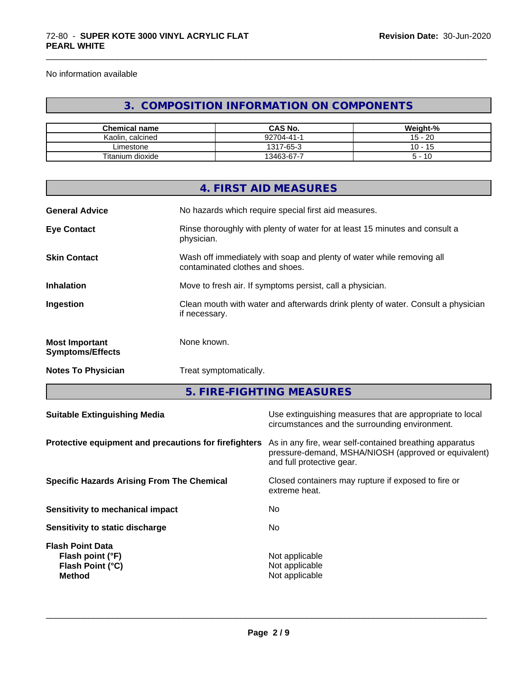No information available

## **3. COMPOSITION INFORMATION ON COMPONENTS**

\_\_\_\_\_\_\_\_\_\_\_\_\_\_\_\_\_\_\_\_\_\_\_\_\_\_\_\_\_\_\_\_\_\_\_\_\_\_\_\_\_\_\_\_\_\_\_\_\_\_\_\_\_\_\_\_\_\_\_\_\_\_\_\_\_\_\_\_\_\_\_\_\_\_\_\_\_\_\_\_\_\_\_\_\_\_\_\_\_\_\_\_\_

| <b>Chemical name</b>            | <b>CAS No.</b> | Weight-%  |
|---------------------------------|----------------|-----------|
| Kaolin.<br>. calcined           | 92704-41-1     | -20<br>15 |
| ∟imestone                       | 1317-65-3      | 10<br>. . |
| $- \cdot$ .<br>Fitanium dioxide | 13463-67-7     | 10        |

|                                                  | 4. FIRST AID MEASURES                                                                                    |
|--------------------------------------------------|----------------------------------------------------------------------------------------------------------|
| <b>General Advice</b>                            | No hazards which require special first aid measures.                                                     |
| <b>Eye Contact</b>                               | Rinse thoroughly with plenty of water for at least 15 minutes and consult a<br>physician.                |
| <b>Skin Contact</b>                              | Wash off immediately with soap and plenty of water while removing all<br>contaminated clothes and shoes. |
| <b>Inhalation</b>                                | Move to fresh air. If symptoms persist, call a physician.                                                |
| Ingestion                                        | Clean mouth with water and afterwards drink plenty of water. Consult a physician<br>if necessary.        |
| <b>Most Important</b><br><b>Symptoms/Effects</b> | None known.                                                                                              |
| <b>Notes To Physician</b>                        | Treat symptomatically.                                                                                   |
|                                                  | 5. FIRE-FIGHTING MEASURES                                                                                |
| Suitable Extinguishing Media                     | Use extinguishing measures that are appropriate to local                                                 |

|                                                                                  | circumstances and the surrounding environment.                                                                                               |
|----------------------------------------------------------------------------------|----------------------------------------------------------------------------------------------------------------------------------------------|
| Protective equipment and precautions for firefighters                            | As in any fire, wear self-contained breathing apparatus<br>pressure-demand, MSHA/NIOSH (approved or equivalent)<br>and full protective gear. |
| <b>Specific Hazards Arising From The Chemical</b>                                | Closed containers may rupture if exposed to fire or<br>extreme heat.                                                                         |
| Sensitivity to mechanical impact                                                 | No                                                                                                                                           |
| Sensitivity to static discharge                                                  | No.                                                                                                                                          |
| <b>Flash Point Data</b><br>Flash point (°F)<br>Flash Point (°C)<br><b>Method</b> | Not applicable<br>Not applicable<br>Not applicable                                                                                           |
|                                                                                  |                                                                                                                                              |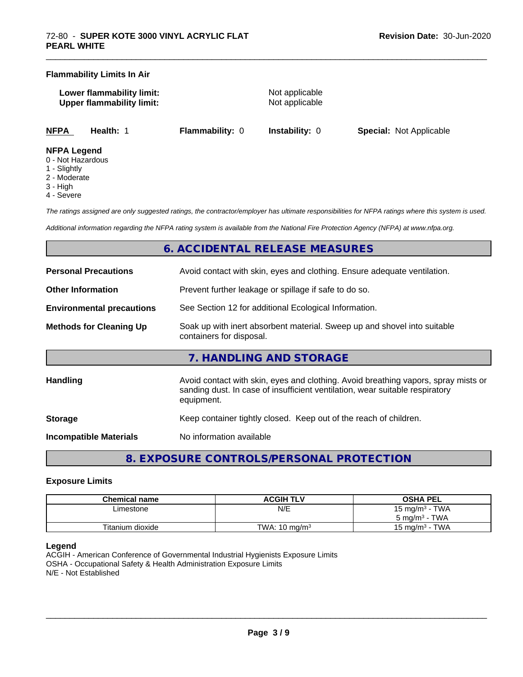#### **Flammability Limits In Air**

**Lower flammability limit:** Not applicable **Upper flammability limit:** Not applicable

\_\_\_\_\_\_\_\_\_\_\_\_\_\_\_\_\_\_\_\_\_\_\_\_\_\_\_\_\_\_\_\_\_\_\_\_\_\_\_\_\_\_\_\_\_\_\_\_\_\_\_\_\_\_\_\_\_\_\_\_\_\_\_\_\_\_\_\_\_\_\_\_\_\_\_\_\_\_\_\_\_\_\_\_\_\_\_\_\_\_\_\_\_

**NFPA Health:** 1 **Flammability:** 0 **Instability:** 0 **Special:** Not Applicable

#### **NFPA Legend**

- 0 Not Hazardous
- 1 Slightly
- 2 Moderate
- 3 High
- 4 Severe

*The ratings assigned are only suggested ratings, the contractor/employer has ultimate responsibilities for NFPA ratings where this system is used.*

*Additional information regarding the NFPA rating system is available from the National Fire Protection Agency (NFPA) at www.nfpa.org.*

## **6. ACCIDENTAL RELEASE MEASURES**

| <b>Personal Precautions</b>      | Avoid contact with skin, eyes and clothing. Ensure adequate ventilation.                                                                                                         |  |  |
|----------------------------------|----------------------------------------------------------------------------------------------------------------------------------------------------------------------------------|--|--|
| <b>Other Information</b>         | Prevent further leakage or spillage if safe to do so.                                                                                                                            |  |  |
| <b>Environmental precautions</b> | See Section 12 for additional Ecological Information.                                                                                                                            |  |  |
| <b>Methods for Cleaning Up</b>   | Soak up with inert absorbent material. Sweep up and shovel into suitable<br>containers for disposal.                                                                             |  |  |
|                                  | 7. HANDLING AND STORAGE                                                                                                                                                          |  |  |
| <b>Handling</b>                  | Avoid contact with skin, eyes and clothing. Avoid breathing vapors, spray mists or<br>sanding dust. In case of insufficient ventilation, wear suitable respiratory<br>equipment. |  |  |
| <b>Storage</b>                   | Keep container tightly closed. Keep out of the reach of children.                                                                                                                |  |  |
| <b>Incompatible Materials</b>    | No information available                                                                                                                                                         |  |  |

**8. EXPOSURE CONTROLS/PERSONAL PROTECTION**

#### **Exposure Limits**

| <b>Chemical name</b> | <b>ACGIH TLV</b>         | <b>OSHA PEL</b>                            |
|----------------------|--------------------------|--------------------------------------------|
| Limestone            | N/E                      | TWA<br>15 mg/m <sup>3</sup> -              |
|                      |                          | TWA<br>ა mg/m <sup>3</sup>                 |
| Titanium dioxide     | TWA: $10 \text{ ma/m}^3$ | <b>TWA</b><br>15 mg/m <sup>3</sup> $\cdot$ |

#### **Legend**

ACGIH - American Conference of Governmental Industrial Hygienists Exposure Limits OSHA - Occupational Safety & Health Administration Exposure Limits N/E - Not Established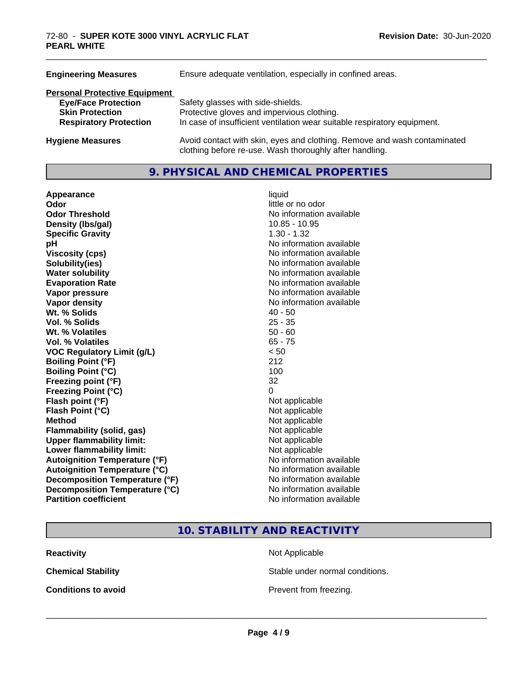| Ensure adequate ventilation, especially in confined areas.                                                                          |  |  |
|-------------------------------------------------------------------------------------------------------------------------------------|--|--|
|                                                                                                                                     |  |  |
| Safety glasses with side-shields.                                                                                                   |  |  |
| Protective gloves and impervious clothing.                                                                                          |  |  |
| In case of insufficient ventilation wear suitable respiratory equipment.                                                            |  |  |
| Avoid contact with skin, eyes and clothing. Remove and wash contaminated<br>clothing before re-use. Wash thoroughly after handling. |  |  |
|                                                                                                                                     |  |  |

#### **9. PHYSICAL AND CHEMICAL PROPERTIES**

| Appearance                           | liquid                   |  |
|--------------------------------------|--------------------------|--|
| Odor                                 | little or no odor        |  |
| <b>Odor Threshold</b>                | No information available |  |
| Density (Ibs/gal)<br>$10.85 - 10.95$ |                          |  |
| <b>Specific Gravity</b>              | $1.30 - 1.32$            |  |
| рH                                   | No information available |  |
| <b>Viscosity (cps)</b>               | No information available |  |
| Solubility(ies)                      | No information available |  |
| <b>Water solubility</b>              | No information available |  |
| <b>Evaporation Rate</b>              | No information available |  |
| Vapor pressure                       | No information available |  |
| <b>Vapor density</b>                 | No information available |  |
| Wt. % Solids                         | $40 - 50$                |  |
| Vol. % Solids                        | $25 - 35$                |  |
| Wt. % Volatiles                      | $50 - 60$                |  |
| Vol. % Volatiles                     | $65 - 75$                |  |
| <b>VOC Regulatory Limit (g/L)</b>    | < 50                     |  |
| <b>Boiling Point (°F)</b>            | 212                      |  |
| <b>Boiling Point (°C)</b>            | 100                      |  |
| Freezing point (°F)                  | 32                       |  |
| <b>Freezing Point (°C)</b>           | 0                        |  |
| Flash point (°F)                     | Not applicable           |  |
| Flash Point (°C)                     | Not applicable           |  |
| <b>Method</b>                        | Not applicable           |  |
| <b>Flammability (solid, gas)</b>     | Not applicable           |  |
| <b>Upper flammability limit:</b>     | Not applicable           |  |
| Lower flammability limit:            | Not applicable           |  |
| <b>Autoignition Temperature (°F)</b> | No information available |  |
| <b>Autoignition Temperature (°C)</b> | No information available |  |
| Decomposition Temperature (°F)       | No information available |  |
| Decomposition Temperature (°C)       | No information available |  |
| <b>Partition coefficient</b>         | No information available |  |

\_\_\_\_\_\_\_\_\_\_\_\_\_\_\_\_\_\_\_\_\_\_\_\_\_\_\_\_\_\_\_\_\_\_\_\_\_\_\_\_\_\_\_\_\_\_\_\_\_\_\_\_\_\_\_\_\_\_\_\_\_\_\_\_\_\_\_\_\_\_\_\_\_\_\_\_\_\_\_\_\_\_\_\_\_\_\_\_\_\_\_\_\_

**10. STABILITY AND REACTIVITY**

**Reactivity** Not Applicable

**Chemical Stability Stable under normal conditions.** 

**Conditions to avoid Conditions to avoid Prevent from freezing.**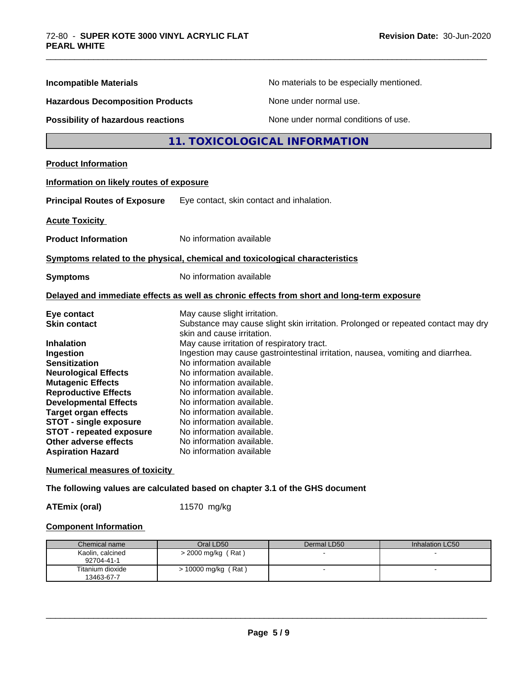| <b>Incompatible Materials</b>                                                                                                                                                                                                                                                           |                                                                                                                                                                                                                                     | No materials to be especially mentioned.                                                   |  |
|-----------------------------------------------------------------------------------------------------------------------------------------------------------------------------------------------------------------------------------------------------------------------------------------|-------------------------------------------------------------------------------------------------------------------------------------------------------------------------------------------------------------------------------------|--------------------------------------------------------------------------------------------|--|
|                                                                                                                                                                                                                                                                                         |                                                                                                                                                                                                                                     |                                                                                            |  |
| <b>Hazardous Decomposition Products</b>                                                                                                                                                                                                                                                 |                                                                                                                                                                                                                                     | None under normal use.                                                                     |  |
| <b>Possibility of hazardous reactions</b>                                                                                                                                                                                                                                               |                                                                                                                                                                                                                                     | None under normal conditions of use.                                                       |  |
|                                                                                                                                                                                                                                                                                         |                                                                                                                                                                                                                                     | 11. TOXICOLOGICAL INFORMATION                                                              |  |
| <b>Product Information</b>                                                                                                                                                                                                                                                              |                                                                                                                                                                                                                                     |                                                                                            |  |
| Information on likely routes of exposure                                                                                                                                                                                                                                                |                                                                                                                                                                                                                                     |                                                                                            |  |
| <b>Principal Routes of Exposure</b>                                                                                                                                                                                                                                                     | Eye contact, skin contact and inhalation.                                                                                                                                                                                           |                                                                                            |  |
| <b>Acute Toxicity</b>                                                                                                                                                                                                                                                                   |                                                                                                                                                                                                                                     |                                                                                            |  |
| No information available<br><b>Product Information</b>                                                                                                                                                                                                                                  |                                                                                                                                                                                                                                     |                                                                                            |  |
| Symptoms related to the physical, chemical and toxicological characteristics                                                                                                                                                                                                            |                                                                                                                                                                                                                                     |                                                                                            |  |
| No information available<br><b>Symptoms</b>                                                                                                                                                                                                                                             |                                                                                                                                                                                                                                     |                                                                                            |  |
|                                                                                                                                                                                                                                                                                         |                                                                                                                                                                                                                                     | Delayed and immediate effects as well as chronic effects from short and long-term exposure |  |
| Eye contact<br><b>Skin contact</b>                                                                                                                                                                                                                                                      | May cause slight irritation.<br>skin and cause irritation.                                                                                                                                                                          | Substance may cause slight skin irritation. Prolonged or repeated contact may dry          |  |
| Ingestion<br><b>Sensitization</b><br><b>Neurological Effects</b><br><b>Mutagenic Effects</b><br><b>Reproductive Effects</b><br><b>Developmental Effects</b><br><b>Target organ effects</b><br><b>STOT - single exposure</b><br><b>STOT - repeated exposure</b><br>Other adverse effects | No information available<br>No information available.<br>No information available.<br>No information available.<br>No information available.<br>No information available.<br>No information available.<br>No information available. | Ingestion may cause gastrointestinal irritation, nausea, vomiting and diarrhea.            |  |
| <b>Aspiration Hazard</b>                                                                                                                                                                                                                                                                | No information available.<br>No information available                                                                                                                                                                               |                                                                                            |  |

\_\_\_\_\_\_\_\_\_\_\_\_\_\_\_\_\_\_\_\_\_\_\_\_\_\_\_\_\_\_\_\_\_\_\_\_\_\_\_\_\_\_\_\_\_\_\_\_\_\_\_\_\_\_\_\_\_\_\_\_\_\_\_\_\_\_\_\_\_\_\_\_\_\_\_\_\_\_\_\_\_\_\_\_\_\_\_\_\_\_\_\_\_

**Numerical measures of toxicity**

**The following values are calculated based on chapter 3.1 of the GHS document**

**ATEmix (oral)** 11570 mg/kg

#### **Component Information**

| Chemical name                  | Oral LD50                | Dermal LD50 | Inhalation LC50 |
|--------------------------------|--------------------------|-------------|-----------------|
| Kaolin, calcined<br>92704-41-1 | $>$ 2000 mg/kg (Rat)     |             |                 |
| Titanium dioxide<br>13463-67-7 | (Rat)<br>> 10000 mg/kg ( |             |                 |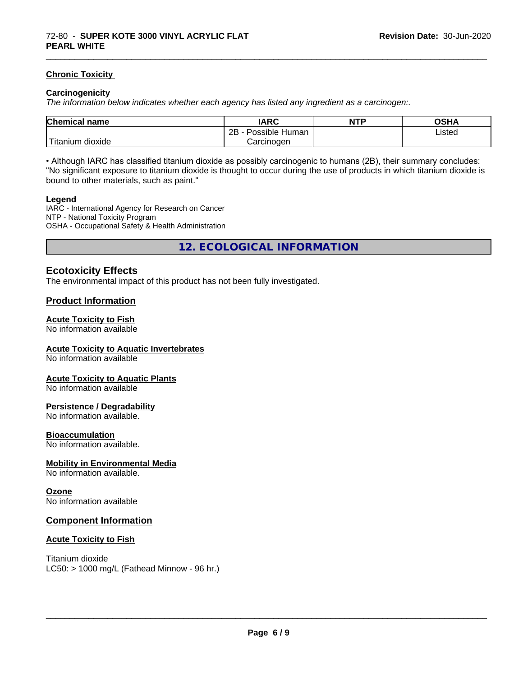#### **Chronic Toxicity**

#### **Carcinogenicity**

*The information below indicateswhether each agency has listed any ingredient as a carcinogen:.*

| <b>Chemical</b><br>name                                                                                                                         | <b>IARC</b>               | <b>NTP</b> | <b>OSHA</b> |
|-------------------------------------------------------------------------------------------------------------------------------------------------|---------------------------|------------|-------------|
|                                                                                                                                                 | .<br>2B<br>Possible Human |            | Listed      |
| <b>The Contract of the Contract of the Contract of the Contract of the Contract of the Contract of the Contract o</b><br>n dioxide<br>l itanium | Carcinogen                |            |             |

\_\_\_\_\_\_\_\_\_\_\_\_\_\_\_\_\_\_\_\_\_\_\_\_\_\_\_\_\_\_\_\_\_\_\_\_\_\_\_\_\_\_\_\_\_\_\_\_\_\_\_\_\_\_\_\_\_\_\_\_\_\_\_\_\_\_\_\_\_\_\_\_\_\_\_\_\_\_\_\_\_\_\_\_\_\_\_\_\_\_\_\_\_

• Although IARC has classified titanium dioxide as possibly carcinogenic to humans (2B), their summary concludes: "No significant exposure to titanium dioxide is thought to occur during the use of products in which titanium dioxide is bound to other materials, such as paint."

#### **Legend**

IARC - International Agency for Research on Cancer NTP - National Toxicity Program OSHA - Occupational Safety & Health Administration

**12. ECOLOGICAL INFORMATION**

#### **Ecotoxicity Effects**

The environmental impact of this product has not been fully investigated.

#### **Product Information**

#### **Acute Toxicity to Fish**

No information available

#### **Acute Toxicity to Aquatic Invertebrates**

No information available

#### **Acute Toxicity to Aquatic Plants**

No information available

#### **Persistence / Degradability**

No information available.

#### **Bioaccumulation**

No information available.

#### **Mobility in Environmental Media**

No information available.

#### **Ozone**

No information available

#### **Component Information**

#### **Acute Toxicity to Fish**

Titanium dioxide  $LC50:$  > 1000 mg/L (Fathead Minnow - 96 hr.)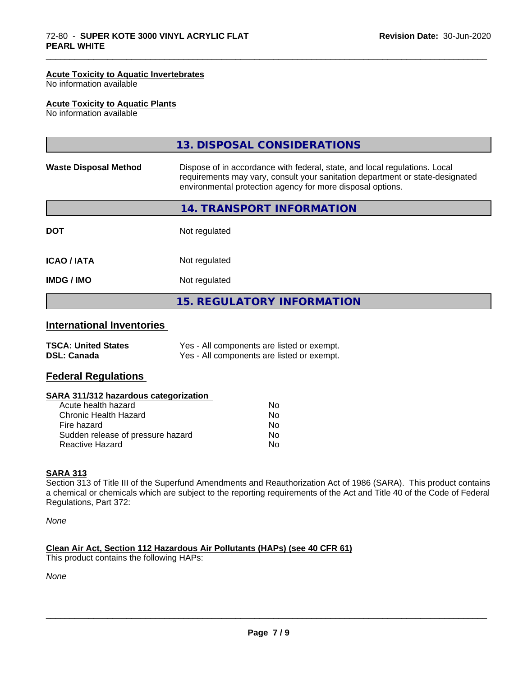#### **Acute Toxicity to Aquatic Invertebrates**

No information available

#### **Acute Toxicity to Aquatic Plants**

No information available

|                              | 13. DISPOSAL CONSIDERATIONS                                                                                                                                                                                               |
|------------------------------|---------------------------------------------------------------------------------------------------------------------------------------------------------------------------------------------------------------------------|
| <b>Waste Disposal Method</b> | Dispose of in accordance with federal, state, and local regulations. Local<br>requirements may vary, consult your sanitation department or state-designated<br>environmental protection agency for more disposal options. |
|                              | 14. TRANSPORT INFORMATION                                                                                                                                                                                                 |
| <b>DOT</b>                   | Not regulated                                                                                                                                                                                                             |
| <b>ICAO/IATA</b>             | Not regulated                                                                                                                                                                                                             |
| <b>IMDG/IMO</b>              | Not regulated                                                                                                                                                                                                             |
|                              | <b>15. REGULATORY INFORMATION</b>                                                                                                                                                                                         |

\_\_\_\_\_\_\_\_\_\_\_\_\_\_\_\_\_\_\_\_\_\_\_\_\_\_\_\_\_\_\_\_\_\_\_\_\_\_\_\_\_\_\_\_\_\_\_\_\_\_\_\_\_\_\_\_\_\_\_\_\_\_\_\_\_\_\_\_\_\_\_\_\_\_\_\_\_\_\_\_\_\_\_\_\_\_\_\_\_\_\_\_\_

### **International Inventories**

| <b>TSCA: United States</b> | Yes - All components are listed or exempt. |
|----------------------------|--------------------------------------------|
| <b>DSL: Canada</b>         | Yes - All components are listed or exempt. |

#### **Federal Regulations**

#### **SARA 311/312 hazardous categorization**

| Acute health hazard               | No |  |
|-----------------------------------|----|--|
| Chronic Health Hazard             | N٥ |  |
| Fire hazard                       | Nο |  |
| Sudden release of pressure hazard | Nο |  |
| Reactive Hazard                   | Nο |  |

#### **SARA 313**

Section 313 of Title III of the Superfund Amendments and Reauthorization Act of 1986 (SARA). This product contains a chemical or chemicals which are subject to the reporting requirements of the Act and Title 40 of the Code of Federal Regulations, Part 372:

*None*

#### **Clean Air Act,Section 112 Hazardous Air Pollutants (HAPs) (see 40 CFR 61)**

This product contains the following HAPs:

*None*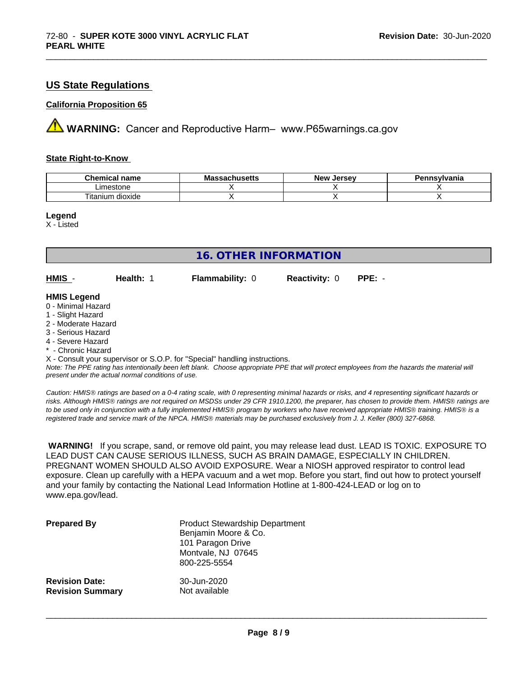#### **US State Regulations**

#### **California Proposition 65**

**A** WARNING: Cancer and Reproductive Harm– www.P65warnings.ca.gov

#### **State Right-to-Know**

| Chemic<br>name<br>ешкаг     | - -<br>$-1000$<br>IVIa<br>aunuscus | <b>Jerse</b> v<br><b>Nev</b> | avlvan<br>anıa |
|-----------------------------|------------------------------------|------------------------------|----------------|
| imactone<br>estone          |                                    |                              |                |
| <br>dioxide<br>um<br>itanit |                                    |                              |                |

\_\_\_\_\_\_\_\_\_\_\_\_\_\_\_\_\_\_\_\_\_\_\_\_\_\_\_\_\_\_\_\_\_\_\_\_\_\_\_\_\_\_\_\_\_\_\_\_\_\_\_\_\_\_\_\_\_\_\_\_\_\_\_\_\_\_\_\_\_\_\_\_\_\_\_\_\_\_\_\_\_\_\_\_\_\_\_\_\_\_\_\_\_

**Legend**

X - Listed

| <b>16. OTHER INFORMATION</b>                                                                                                                                                                                |           |                                                                            |                      |                                                                                                                                               |
|-------------------------------------------------------------------------------------------------------------------------------------------------------------------------------------------------------------|-----------|----------------------------------------------------------------------------|----------------------|-----------------------------------------------------------------------------------------------------------------------------------------------|
| HMIS -                                                                                                                                                                                                      | Health: 1 | <b>Flammability: 0</b>                                                     | <b>Reactivity: 0</b> | $PPE: -$                                                                                                                                      |
| <b>HMIS Legend</b><br>0 - Minimal Hazard<br>1 - Slight Hazard<br>2 - Moderate Hazard<br>3 - Serious Hazard<br>4 - Severe Hazard<br>* - Chronic Hazard<br>present under the actual normal conditions of use. |           | X - Consult your supervisor or S.O.P. for "Special" handling instructions. |                      | Note: The PPE rating has intentionally been left blank. Choose appropriate PPE that will protect employees from the hazards the material will |

*Caution: HMISÒ ratings are based on a 0-4 rating scale, with 0 representing minimal hazards or risks, and 4 representing significant hazards or risks. Although HMISÒ ratings are not required on MSDSs under 29 CFR 1910.1200, the preparer, has chosen to provide them. HMISÒ ratings are to be used only in conjunction with a fully implemented HMISÒ program by workers who have received appropriate HMISÒ training. HMISÒ is a registered trade and service mark of the NPCA. HMISÒ materials may be purchased exclusively from J. J. Keller (800) 327-6868.*

 **WARNING!** If you scrape, sand, or remove old paint, you may release lead dust. LEAD IS TOXIC. EXPOSURE TO LEAD DUST CAN CAUSE SERIOUS ILLNESS, SUCH AS BRAIN DAMAGE, ESPECIALLY IN CHILDREN. PREGNANT WOMEN SHOULD ALSO AVOID EXPOSURE. Wear a NIOSH approved respirator to control lead exposure. Clean up carefully with a HEPA vacuum and a wet mop. Before you start, find out how to protect yourself and your family by contacting the National Lead Information Hotline at 1-800-424-LEAD or log on to www.epa.gov/lead.

| <b>Prepared By</b>      | <b>Product Stewardship Department</b><br>Benjamin Moore & Co.<br>101 Paragon Drive<br>Montvale, NJ 07645<br>800-225-5554 |
|-------------------------|--------------------------------------------------------------------------------------------------------------------------|
| <b>Revision Date:</b>   | 30-Jun-2020                                                                                                              |
| <b>Revision Summary</b> | Not available                                                                                                            |